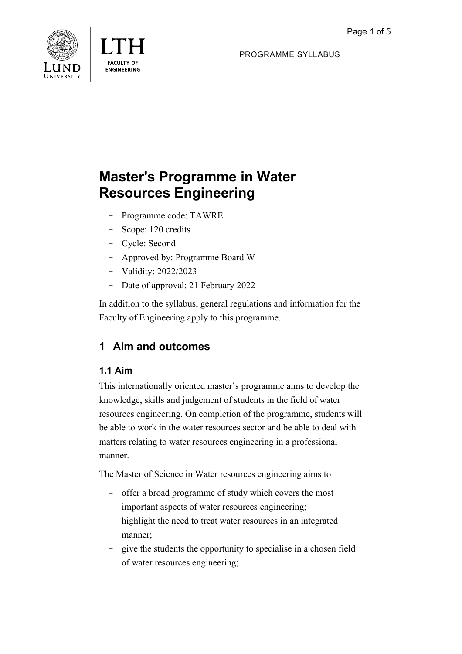



PROGRAMME SYLLABUS

# **Master's Programme in Water Resources Engineering**

- Programme code: TAWRE
- Scope: 120 credits
- Cycle: Second
- Approved by: Programme Board W
- Validity: 2022/2023
- Date of approval: 21 February 2022

In addition to the syllabus, general regulations and information for the Faculty of Engineering apply to this programme.

# **1 Aim and outcomes**

# **1.1 Aim**

This internationally oriented master's programme aims to develop the knowledge, skills and judgement of students in the field of water resources engineering. On completion of the programme, students will be able to work in the water resources sector and be able to deal with matters relating to water resources engineering in a professional manner.

The Master of Science in Water resources engineering aims to

- offer a broad programme of study which covers the most important aspects of water resources engineering;
- highlight the need to treat water resources in an integrated manner;
- give the students the opportunity to specialise in a chosen field of water resources engineering;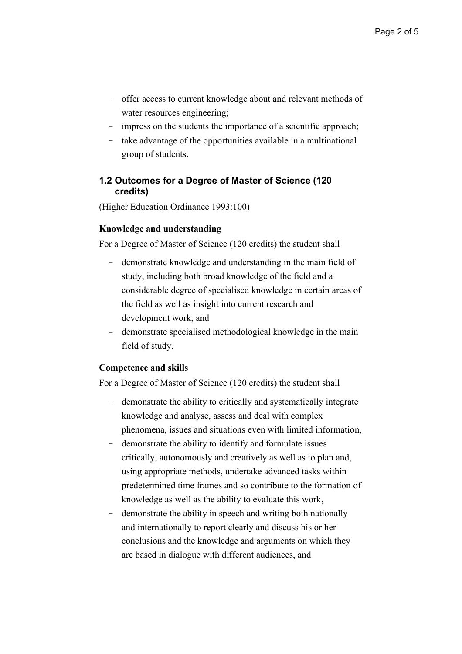- offer access to current knowledge about and relevant methods of water resources engineering;
- impress on the students the importance of a scientific approach;
- take advantage of the opportunities available in a multinational group of students.

#### **1.2 Outcomes for a Degree of Master of Science (120 credits)**

(Higher Education Ordinance 1993:100)

#### **Knowledge and understanding**

For a Degree of Master of Science (120 credits) the student shall

- demonstrate knowledge and understanding in the main field of study, including both broad knowledge of the field and a considerable degree of specialised knowledge in certain areas of the field as well as insight into current research and development work, and
- demonstrate specialised methodological knowledge in the main field of study.

#### **Competence and skills**

For a Degree of Master of Science (120 credits) the student shall

- demonstrate the ability to critically and systematically integrate knowledge and analyse, assess and deal with complex phenomena, issues and situations even with limited information,
- demonstrate the ability to identify and formulate issues critically, autonomously and creatively as well as to plan and, using appropriate methods, undertake advanced tasks within predetermined time frames and so contribute to the formation of knowledge as well as the ability to evaluate this work,
- demonstrate the ability in speech and writing both nationally and internationally to report clearly and discuss his or her conclusions and the knowledge and arguments on which they are based in dialogue with different audiences, and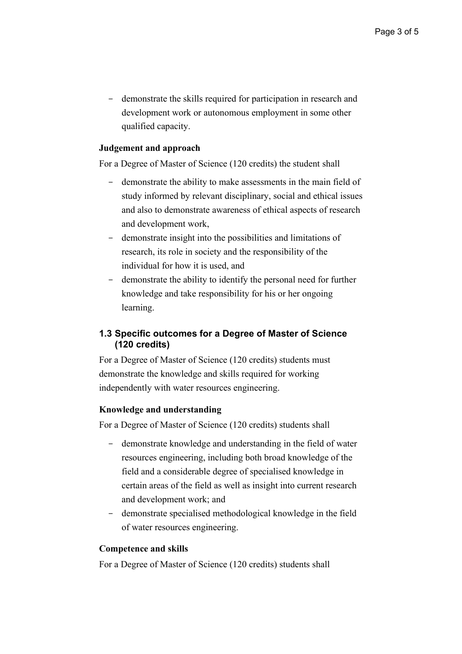- demonstrate the skills required for participation in research and development work or autonomous employment in some other qualified capacity.

#### **Judgement and approach**

For a Degree of Master of Science (120 credits) the student shall

- demonstrate the ability to make assessments in the main field of study informed by relevant disciplinary, social and ethical issues and also to demonstrate awareness of ethical aspects of research and development work,
- demonstrate insight into the possibilities and limitations of research, its role in society and the responsibility of the individual for how it is used, and
- demonstrate the ability to identify the personal need for further knowledge and take responsibility for his or her ongoing learning.

## **1.3 Specific outcomes for a Degree of Master of Science (120 credits)**

For a Degree of Master of Science (120 credits) students must demonstrate the knowledge and skills required for working independently with water resources engineering.

#### **Knowledge and understanding**

For a Degree of Master of Science (120 credits) students shall

- demonstrate knowledge and understanding in the field of water resources engineering, including both broad knowledge of the field and a considerable degree of specialised knowledge in certain areas of the field as well as insight into current research and development work; and
- demonstrate specialised methodological knowledge in the field of water resources engineering.

#### **Competence and skills**

For a Degree of Master of Science (120 credits) students shall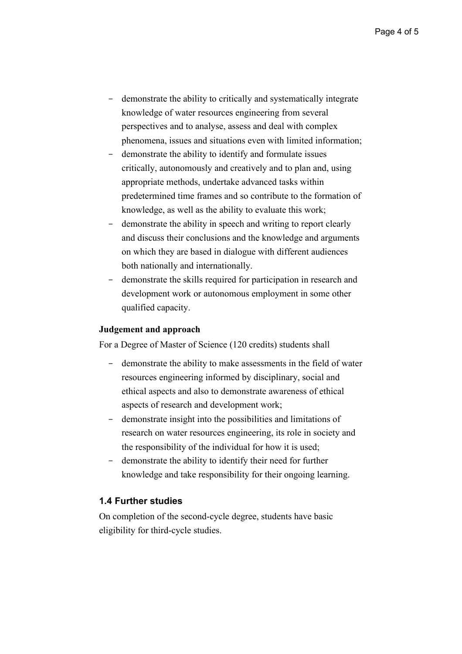- demonstrate the ability to critically and systematically integrate knowledge of water resources engineering from several perspectives and to analyse, assess and deal with complex phenomena, issues and situations even with limited information;
- demonstrate the ability to identify and formulate issues critically, autonomously and creatively and to plan and, using appropriate methods, undertake advanced tasks within predetermined time frames and so contribute to the formation of knowledge, as well as the ability to evaluate this work;
- demonstrate the ability in speech and writing to report clearly and discuss their conclusions and the knowledge and arguments on which they are based in dialogue with different audiences both nationally and internationally.
- demonstrate the skills required for participation in research and development work or autonomous employment in some other qualified capacity.

#### **Judgement and approach**

For a Degree of Master of Science (120 credits) students shall

- demonstrate the ability to make assessments in the field of water resources engineering informed by disciplinary, social and ethical aspects and also to demonstrate awareness of ethical aspects of research and development work;
- demonstrate insight into the possibilities and limitations of research on water resources engineering, its role in society and the responsibility of the individual for how it is used;
- demonstrate the ability to identify their need for further knowledge and take responsibility for their ongoing learning.

#### **1.4 Further studies**

On completion of the second-cycle degree, students have basic eligibility for third-cycle studies.